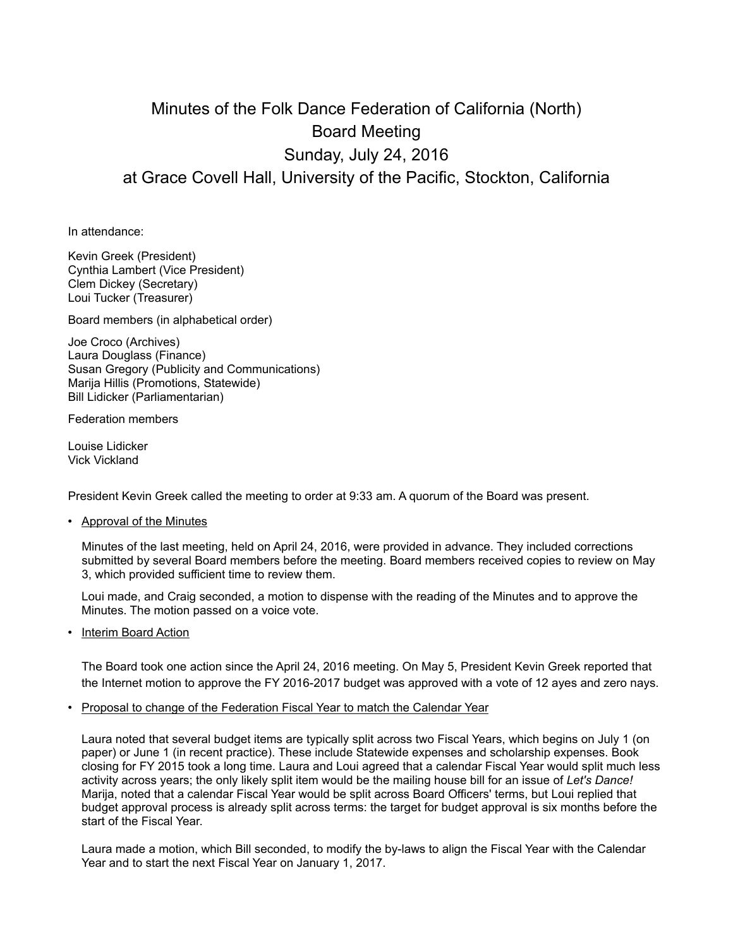## Minutes of the Folk Dance Federation of California (North) Board Meeting Sunday, July 24, 2016 at Grace Covell Hall, University of the Pacific, Stockton, California

In attendance:

Kevin Greek (President) Cynthia Lambert (Vice President) Clem Dickey (Secretary) Loui Tucker (Treasurer)

Board members (in alphabetical order)

Joe Croco (Archives) Laura Douglass (Finance) Susan Gregory (Publicity and Communications) Marija Hillis (Promotions, Statewide) Bill Lidicker (Parliamentarian)

Federation members

Louise Lidicker Vick Vickland

President Kevin Greek called the meeting to order at 9:33 am. A quorum of the Board was present.

• Approval of the Minutes

Minutes of the last meeting, held on April 24, 2016, were provided in advance. They included corrections submitted by several Board members before the meeting. Board members received copies to review on May 3, which provided sufficient time to review them.

Loui made, and Craig seconded, a motion to dispense with the reading of the Minutes and to approve the Minutes. The motion passed on a voice vote.

• Interim Board Action

The Board took one action since the April 24, 2016 meeting. On May 5, President Kevin Greek reported that the Internet motion to approve the FY 2016-2017 budget was approved with a vote of 12 ayes and zero nays.

• Proposal to change of the Federation Fiscal Year to match the Calendar Year

Laura noted that several budget items are typically split across two Fiscal Years, which begins on July 1 (on paper) or June 1 (in recent practice). These include Statewide expenses and scholarship expenses. Book closing for FY 2015 took a long time. Laura and Loui agreed that a calendar Fiscal Year would split much less activity across years; the only likely split item would be the mailing house bill for an issue of *Let's Dance!*  Marija, noted that a calendar Fiscal Year would be split across Board Officers' terms, but Loui replied that budget approval process is already split across terms: the target for budget approval is six months before the start of the Fiscal Year.

Laura made a motion, which Bill seconded, to modify the by-laws to align the Fiscal Year with the Calendar Year and to start the next Fiscal Year on January 1, 2017.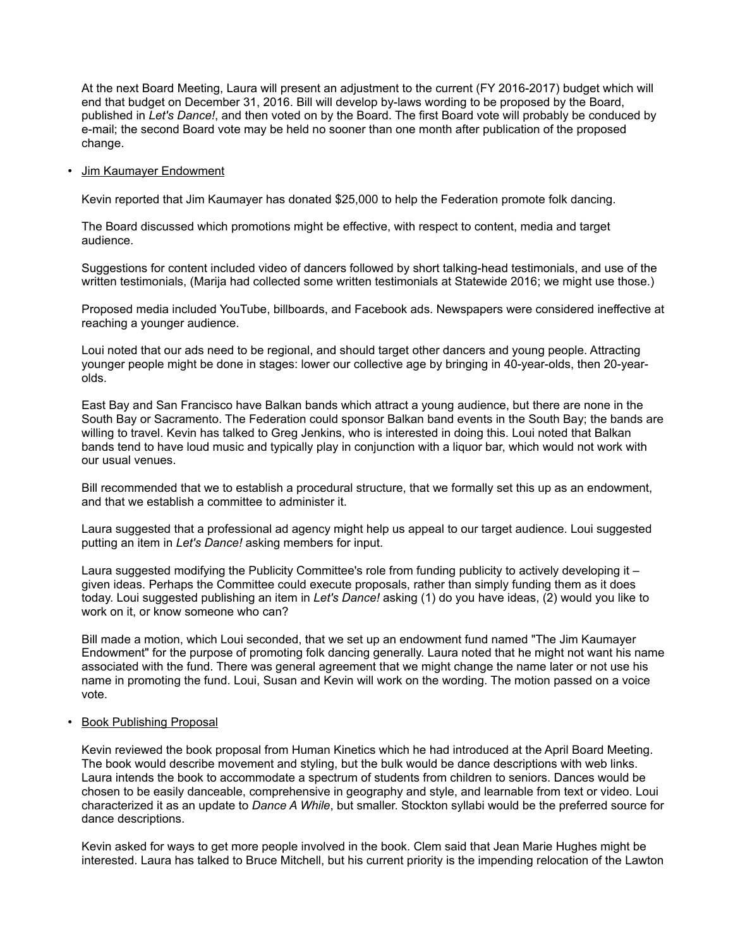At the next Board Meeting, Laura will present an adjustment to the current (FY 2016-2017) budget which will end that budget on December 31, 2016. Bill will develop by-laws wording to be proposed by the Board, published in *Let's Dance!*, and then voted on by the Board. The first Board vote will probably be conduced by e-mail; the second Board vote may be held no sooner than one month after publication of the proposed change.

## • Jim Kaumayer Endowment

Kevin reported that Jim Kaumayer has donated \$25,000 to help the Federation promote folk dancing.

The Board discussed which promotions might be effective, with respect to content, media and target audience.

Suggestions for content included video of dancers followed by short talking-head testimonials, and use of the written testimonials, (Marija had collected some written testimonials at Statewide 2016; we might use those.)

Proposed media included YouTube, billboards, and Facebook ads. Newspapers were considered ineffective at reaching a younger audience.

Loui noted that our ads need to be regional, and should target other dancers and young people. Attracting younger people might be done in stages: lower our collective age by bringing in 40-year-olds, then 20-yearolds.

East Bay and San Francisco have Balkan bands which attract a young audience, but there are none in the South Bay or Sacramento. The Federation could sponsor Balkan band events in the South Bay; the bands are willing to travel. Kevin has talked to Greg Jenkins, who is interested in doing this. Loui noted that Balkan bands tend to have loud music and typically play in conjunction with a liquor bar, which would not work with our usual venues.

Bill recommended that we to establish a procedural structure, that we formally set this up as an endowment, and that we establish a committee to administer it.

Laura suggested that a professional ad agency might help us appeal to our target audience. Loui suggested putting an item in *Let's Dance!* asking members for input.

Laura suggested modifying the Publicity Committee's role from funding publicity to actively developing it – given ideas. Perhaps the Committee could execute proposals, rather than simply funding them as it does today. Loui suggested publishing an item in *Let's Dance!* asking (1) do you have ideas, (2) would you like to work on it, or know someone who can?

Bill made a motion, which Loui seconded, that we set up an endowment fund named "The Jim Kaumayer Endowment" for the purpose of promoting folk dancing generally. Laura noted that he might not want his name associated with the fund. There was general agreement that we might change the name later or not use his name in promoting the fund. Loui, Susan and Kevin will work on the wording. The motion passed on a voice vote.

## • Book Publishing Proposal

Kevin reviewed the book proposal from Human Kinetics which he had introduced at the April Board Meeting. The book would describe movement and styling, but the bulk would be dance descriptions with web links. Laura intends the book to accommodate a spectrum of students from children to seniors. Dances would be chosen to be easily danceable, comprehensive in geography and style, and learnable from text or video. Loui characterized it as an update to *Dance A While*, but smaller. Stockton syllabi would be the preferred source for dance descriptions.

Kevin asked for ways to get more people involved in the book. Clem said that Jean Marie Hughes might be interested. Laura has talked to Bruce Mitchell, but his current priority is the impending relocation of the Lawton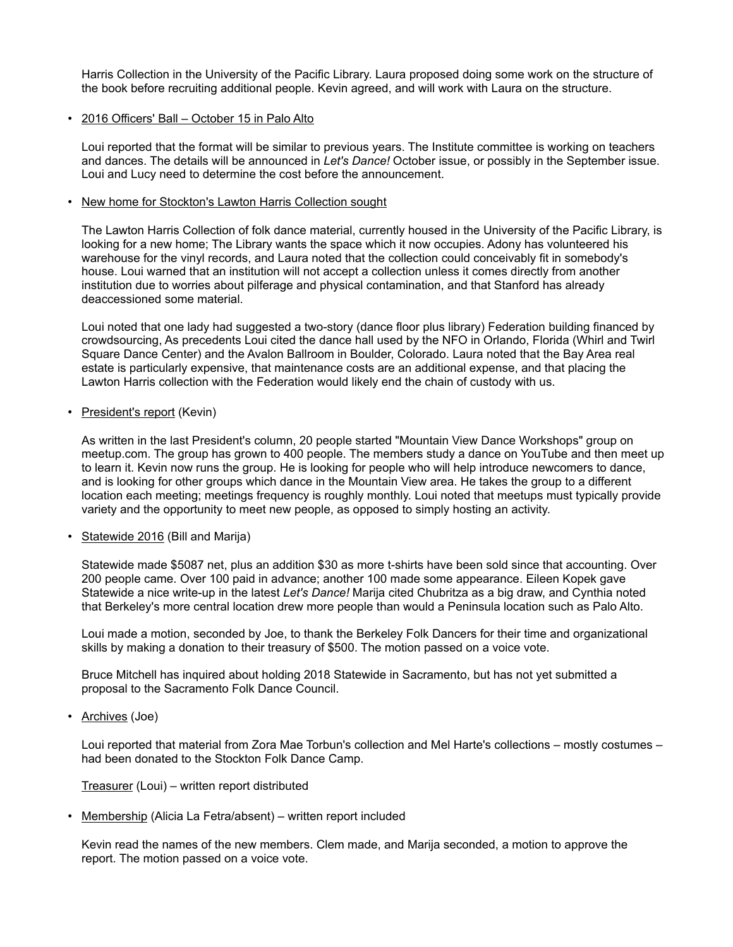Harris Collection in the University of the Pacific Library. Laura proposed doing some work on the structure of the book before recruiting additional people. Kevin agreed, and will work with Laura on the structure.

## • 2016 Officers' Ball – October 15 in Palo Alto

Loui reported that the format will be similar to previous years. The Institute committee is working on teachers and dances. The details will be announced in *Let's Dance!* October issue, or possibly in the September issue. Loui and Lucy need to determine the cost before the announcement.

• New home for Stockton's Lawton Harris Collection sought

The Lawton Harris Collection of folk dance material, currently housed in the University of the Pacific Library, is looking for a new home; The Library wants the space which it now occupies. Adony has volunteered his warehouse for the vinyl records, and Laura noted that the collection could conceivably fit in somebody's house. Loui warned that an institution will not accept a collection unless it comes directly from another institution due to worries about pilferage and physical contamination, and that Stanford has already deaccessioned some material.

Loui noted that one lady had suggested a two-story (dance floor plus library) Federation building financed by crowdsourcing, As precedents Loui cited the dance hall used by the NFO in Orlando, Florida (Whirl and Twirl Square Dance Center) and the Avalon Ballroom in Boulder, Colorado. Laura noted that the Bay Area real estate is particularly expensive, that maintenance costs are an additional expense, and that placing the Lawton Harris collection with the Federation would likely end the chain of custody with us.

• President's report (Kevin)

As written in the last President's column, 20 people started "Mountain View Dance Workshops" group on meetup.com. The group has grown to 400 people. The members study a dance on YouTube and then meet up to learn it. Kevin now runs the group. He is looking for people who will help introduce newcomers to dance, and is looking for other groups which dance in the Mountain View area. He takes the group to a different location each meeting; meetings frequency is roughly monthly. Loui noted that meetups must typically provide variety and the opportunity to meet new people, as opposed to simply hosting an activity.

• Statewide 2016 (Bill and Marija)

Statewide made \$5087 net, plus an addition \$30 as more t-shirts have been sold since that accounting. Over 200 people came. Over 100 paid in advance; another 100 made some appearance. Eileen Kopek gave Statewide a nice write-up in the latest *Let's Dance!* Marija cited Chubritza as a big draw, and Cynthia noted that Berkeley's more central location drew more people than would a Peninsula location such as Palo Alto.

Loui made a motion, seconded by Joe, to thank the Berkeley Folk Dancers for their time and organizational skills by making a donation to their treasury of \$500. The motion passed on a voice vote.

Bruce Mitchell has inquired about holding 2018 Statewide in Sacramento, but has not yet submitted a proposal to the Sacramento Folk Dance Council.

• Archives (Joe)

Loui reported that material from Zora Mae Torbun's collection and Mel Harte's collections – mostly costumes – had been donated to the Stockton Folk Dance Camp.

Treasurer (Loui) – written report distributed

• Membership (Alicia La Fetra/absent) – written report included

Kevin read the names of the new members. Clem made, and Marija seconded, a motion to approve the report. The motion passed on a voice vote.